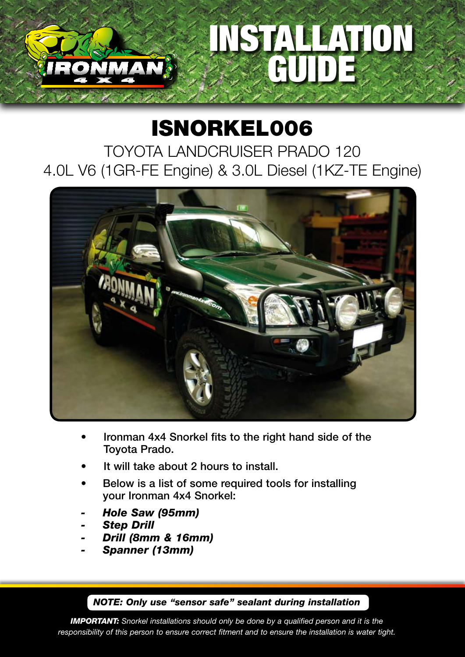## STALLATION GUIDE

## ISNORKEL006

TOYOTA LANDCRUISER PRADO 120 4.0L V6 (1GR-FE Engine) & 3.0L Diesel (1KZ-TE Engine)



- Ironman 4x4 Snorkel fits to the right hand side of the Toyota Prado.
- It will take about 2 hours to install.
- Below is a list of some required tools for installing your Ironman 4x4 Snorkel:
- *- Hole Saw (95mm)*
- *- Step Drill*
- *- Drill (8mm & 16mm)*
- *- Spanner (13mm)*

*NOTE: Only use "sensor safe" sealant during installation*

*IMPORTANT: Snorkel installations should only be done by a qualified person and it is the responsibility of this person to ensure correct fitment and to ensure the installation is water tight.*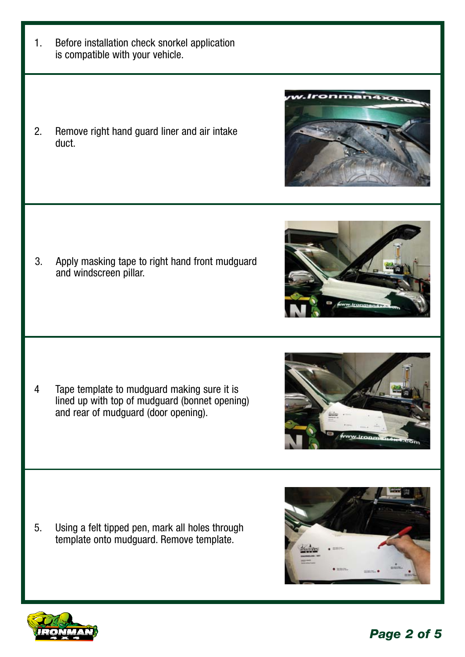*Page 2 of 5*

- 1. Before installation check snorkel application is compatible with your vehicle.
- 2. Remove right hand guard liner and air intake duct.

3. Apply masking tape to right hand front mudguard and windscreen pillar.

4 Tape template to mudguard making sure it is lined up with top of mudguard (bonnet opening) and rear of mudguard (door opening).

5. Using a felt tipped pen, mark all holes through template onto mudguard. Remove template.







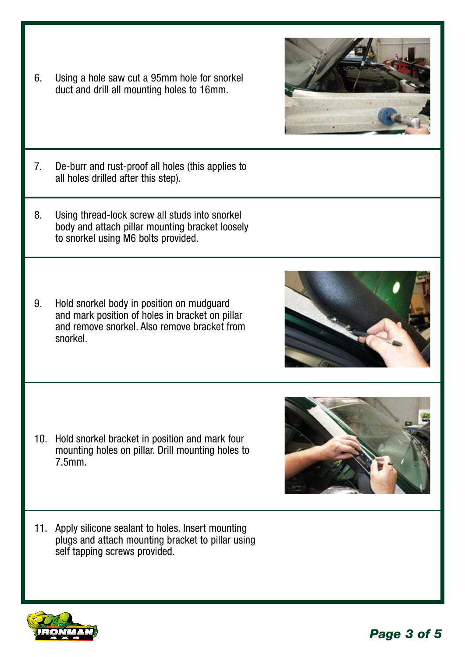- 7. De-burr and rust-proof all holes (this applies to all holes drilled after this step).
- 8. Using thread-lock screw all studs into snorkel body and attach pillar mounting bracket loosely to snorkel using M6 bolts provided.

6. Using a hole saw cut a 95mm hole for snorkel duct and drill all mounting holes to 16mm.

9. Hold snorkel body in position on mudguard and mark position of holes in bracket on pillar and remove snorkel. Also remove bracket from snorkel.

- 10. Hold snorkel bracket in position and mark four mounting holes on pillar. Drill mounting holes to 7.5mm.
- 11. Apply silicone sealant to holes. Insert mounting plugs and attach mounting bracket to pillar using self tapping screws provided.







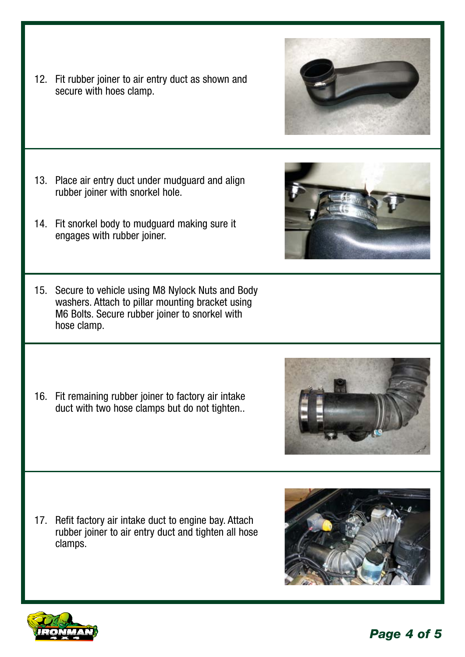*Page 4 of 5*

17. Refit factory air intake duct to engine bay. Attach rubber joiner to air entry duct and tighten all hose clamps.



15. Secure to vehicle using M8 Nylock Nuts and Body washers. Attach to pillar mounting bracket using M6 Bolts. Secure rubber joiner to snorkel with hose clamp.

16. Fit remaining rubber joiner to factory air intake duct with two hose clamps but do not tighten..

- 
- 
- 12. Fit rubber joiner to air entry duct as shown and secure with hoes clamp.

13. Place air entry duct under mudguard and align

14. Fit snorkel body to mudguard making sure it

rubber joiner with snorkel hole.

engages with rubber joiner.